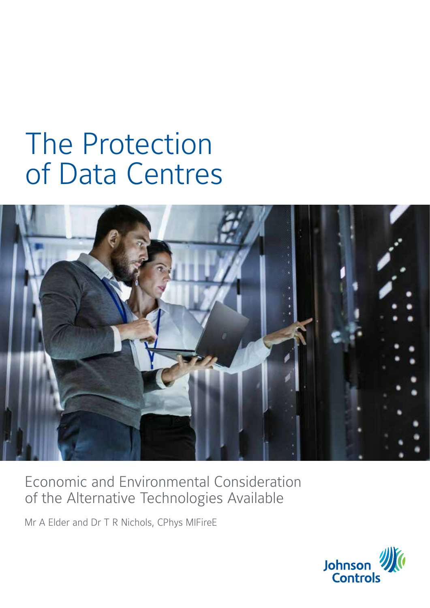# The Protection of Data Centres



# Economic and Environmental Consideration of the Alternative Technologies Available

Mr A Elder and Dr T R Nichols, CPhys MIFireE

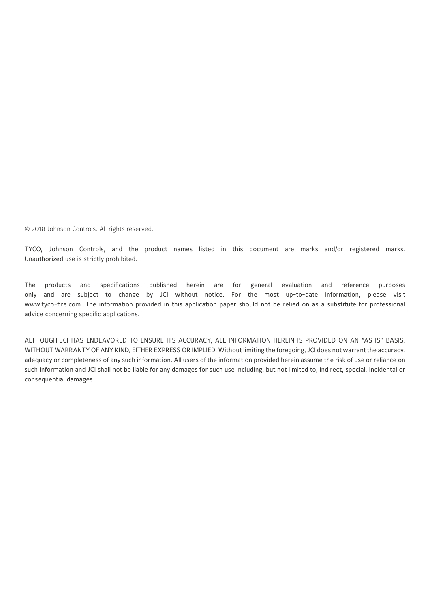© 2018 Johnson Controls. All rights reserved.

TYCO, Johnson Controls, and the product names listed in this document are marks and/or registered marks. Unauthorized use is strictly prohibited.

The products and specifications published herein are for general evaluation and reference purposes only and are subject to change by JCI without notice. For the most up-to-date information, please visit www.tyco-fire.com. The information provided in this application paper should not be relied on as a substitute for professional advice concerning specific applications.

ALTHOUGH JCI HAS ENDEAVORED TO ENSURE ITS ACCURACY, ALL INFORMATION HEREIN IS PROVIDED ON AN "AS IS" BASIS, WITHOUT WARRANTY OF ANY KIND, EITHER EXPRESS OR IMPLIED. Without limiting the foregoing, JCI does not warrant the accuracy, adequacy or completeness of any such information. All users of the information provided herein assume the risk of use or reliance on such information and JCI shall not be liable for any damages for such use including, but not limited to, indirect, special, incidental or consequential damages.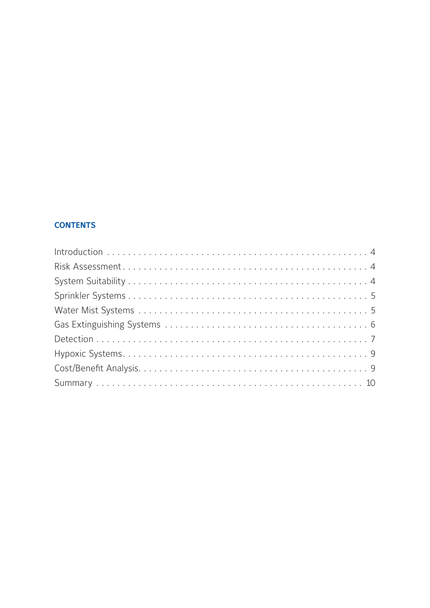#### **CONTENTS**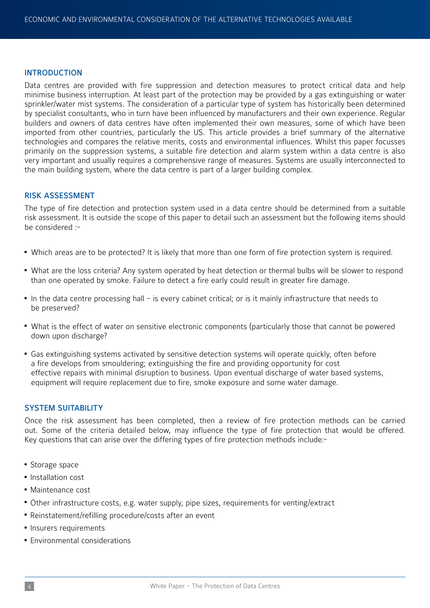#### INTRODUCTION

Data centres are provided with fire suppression and detection measures to protect critical data and help minimise business interruption. At least part of the protection may be provided by a gas extinguishing or water sprinkler/water mist systems. The consideration of a particular type of system has historically been determined by specialist consultants, who in turn have been influenced by manufacturers and their own experience. Regular builders and owners of data centres have often implemented their own measures, some of which have been imported from other countries, particularly the US. This article provides a brief summary of the alternative technologies and compares the relative merits, costs and environmental influences. Whilst this paper focusses primarily on the suppression systems, a suitable fire detection and alarm system within a data centre is also very important and usually requires a comprehensive range of measures. Systems are usually interconnected to the main building system, where the data centre is part of a larger building complex.

#### RISK ASSESSMENT

The type of fire detection and protection system used in a data centre should be determined from a suitable risk assessment. It is outside the scope of this paper to detail such an assessment but the following items should be considered :-

- Which areas are to be protected? It is likely that more than one form of fire protection system is required.
- What are the loss criteria? Any system operated by heat detection or thermal bulbs will be slower to respond than one operated by smoke. Failure to detect a fire early could result in greater fire damage.
- In the data centre processing hall is every cabinet critical; or is it mainly infrastructure that needs to be preserved?
- What is the effect of water on sensitive electronic components (particularly those that cannot be powered down upon discharge?
- Gas extinguishing systems activated by sensitive detection systems will operate quickly, often before a fire develops from smouldering; extinguishing the fire and providing opportunity for cost effective repairs with minimal disruption to business. Upon eventual discharge of water based systems, equipment will require replacement due to fire, smoke exposure and some water damage.

#### SYSTEM SUITABILITY

Once the risk assessment has been completed, then a review of fire protection methods can be carried out. Some of the criteria detailed below, may influence the type of fire protection that would be offered. Key questions that can arise over the differing types of fire protection methods include:-

- Storage space
- Installation cost
- $M$ aintenance cost
- Other infrastructure costs, e.g. water supply, pipe sizes, requirements for venting/extract
- Reinstatement/refilling procedure/costs after an event
- **Insurers requirements**
- **Environmental considerations**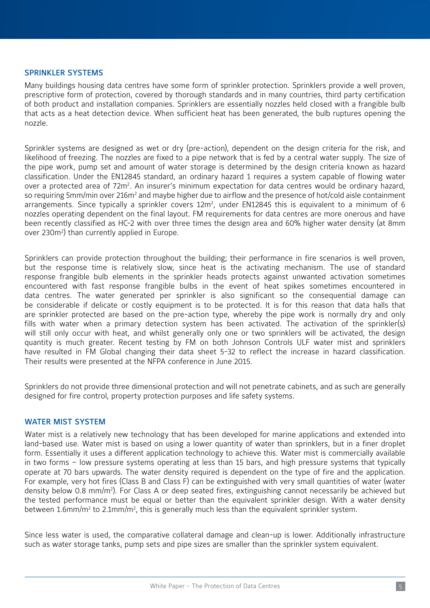#### SPRINKLER SYSTEMS

Many buildings housing data centres have some form of sprinkler protection. Sprinklers provide a well proven, prescriptive form of protection, covered by thorough standards and in many countries, third party certification of both product and installation companies. Sprinklers are essentially nozzles held closed with a frangible bulb that acts as a heat detection device. When sufficient heat has been generated, the bulb ruptures opening the nozzle.

Sprinkler systems are designed as wet or dry (pre-action), dependent on the design criteria for the risk, and likelihood of freezing. The nozzles are fixed to a pipe network that is fed by a central water supply. The size of the pipe work, pump set and amount of water storage is determined by the design criteria known as hazard classification. Under the EN12845 standard, an ordinary hazard 1 requires a system capable of flowing water over a protected area of 72m<sup>2</sup>. An insurer's minimum expectation for data centres would be ordinary hazard, so requiring 5mm/min over 216m<sup>2</sup> and maybe higher due to airflow and the presence of hot/cold aisle containment arrangements. Since typically a sprinkler covers  $12m^2$ , under EN12845 this is equivalent to a minimum of 6 nozzles operating dependent on the final layout. FM requirements for data centres are more onerous and have been recently classified as HC-2 with over three times the design area and 60% higher water density (at 8mm over 230m<sup>2</sup>) than currently applied in Europe.

Sprinklers can provide protection throughout the building; their performance in fire scenarios is well proven, but the response time is relatively slow, since heat is the activating mechanism. The use of standard response frangible bulb elements in the sprinkler heads protects against unwanted activation sometimes encountered with fast response frangible bulbs in the event of heat spikes sometimes encountered in data centres. The water generated per sprinkler is also significant so the consequential damage can be considerable if delicate or costly equipment is to be protected. It is for this reason that data halls that are sprinkler protected are based on the pre-action type, whereby the pipe work is normally dry and only fills with water when a primary detection system has been activated. The activation of the sprinkler(s) will still only occur with heat, and whilst generally only one or two sprinklers will be activated, the design quantity is much greater. Recent testing by FM on both Johnson Controls ULF water mist and sprinklers have resulted in FM Global changing their data sheet 5-32 to reflect the increase in hazard classification. Their results were presented at the NFPA conference in June 2015.

Sprinklers do not provide three dimensional protection and will not penetrate cabinets, and as such are generally designed for fire control, property protection purposes and life safety systems.

#### WATER MIST SYSTEM

Water mist is a relatively new technology that has been developed for marine applications and extended into land-based use. Water mist is based on using a lower quantity of water than sprinklers, but in a finer droplet form. Essentially it uses a different application technology to achieve this. Water mist is commercially available in two forms – low pressure systems operating at less than 15 bars, and high pressure systems that typically operate at 70 bars upwards. The water density required is dependent on the type of fire and the application. For example, very hot fires (Class B and Class F) can be extinguished with very small quantities of water (water density below 0.8 mm/m<sup>2</sup>). For Class A or deep seated fires, extinguishing cannot necessarily be achieved but the tested performance must be equal or better than the equivalent sprinkler design. With a water density between 1.6mm/m<sup>2</sup> to 2.1mm/m<sup>2</sup>, this is generally much less than the equivalent sprinkler system.

Since less water is used, the comparative collateral damage and clean-up is lower. Additionally infrastructure such as water storage tanks, pump sets and pipe sizes are smaller than the sprinkler system equivalent.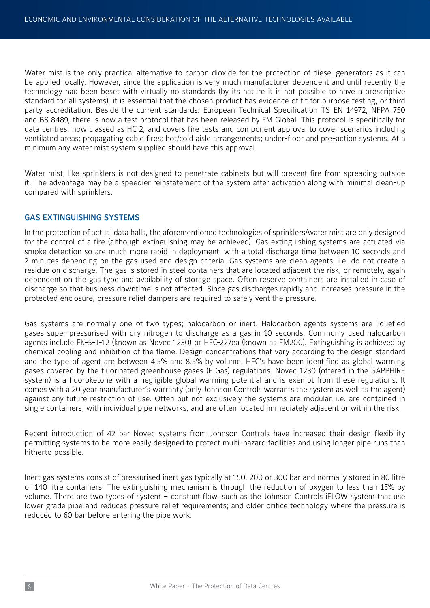Water mist is the only practical alternative to carbon dioxide for the protection of diesel generators as it can be applied locally. However, since the application is very much manufacturer dependent and until recently the technology had been beset with virtually no standards (by its nature it is not possible to have a prescriptive standard for all systems), it is essential that the chosen product has evidence of fit for purpose testing, or third party accreditation. Beside the current standards: European Technical Specification TS EN 14972, NFPA 750 and BS 8489, there is now a test protocol that has been released by FM Global. This protocol is specifically for data centres, now classed as HC-2, and covers fire tests and component approval to cover scenarios including ventilated areas; propagating cable fires; hot/cold aisle arrangements; under-floor and pre-action systems. At a minimum any water mist system supplied should have this approval.

Water mist, like sprinklers is not designed to penetrate cabinets but will prevent fire from spreading outside it. The advantage may be a speedier reinstatement of the system after activation along with minimal clean-up compared with sprinklers.

#### GAS EXTINGUISHING SYSTEMS

In the protection of actual data halls, the aforementioned technologies of sprinklers/water mist are only designed for the control of a fire (although extinguishing may be achieved). Gas extinguishing systems are actuated via smoke detection so are much more rapid in deployment, with a total discharge time between 10 seconds and 2 minutes depending on the gas used and design criteria. Gas systems are clean agents, i.e. do not create a residue on discharge. The gas is stored in steel containers that are located adjacent the risk, or remotely, again dependent on the gas type and availability of storage space. Often reserve containers are installed in case of discharge so that business downtime is not affected. Since gas discharges rapidly and increases pressure in the protected enclosure, pressure relief dampers are required to safely vent the pressure.

Gas systems are normally one of two types; halocarbon or inert. Halocarbon agents systems are liquefied gases super-pressurised with dry nitrogen to discharge as a gas in 10 seconds. Commonly used halocarbon agents include FK-5-1-12 (known as Novec 1230) or HFC-227ea (known as FM200). Extinguishing is achieved by chemical cooling and inhibition of the flame. Design concentrations that vary according to the design standard and the type of agent are between 4.5% and 8.5% by volume. HFC's have been identified as global warming gases covered by the fluorinated greenhouse gases (F Gas) regulations. Novec 1230 (offered in the SAPPHIRE system) is a fluoroketone with a negligible global warming potential and is exempt from these regulations. It comes with a 20 year manufacturer's warranty (only Johnson Controls warrants the system as well as the agent) against any future restriction of use. Often but not exclusively the systems are modular, i.e. are contained in single containers, with individual pipe networks, and are often located immediately adjacent or within the risk.

Recent introduction of 42 bar Novec systems from Johnson Controls have increased their design flexibility permitting systems to be more easily designed to protect multi-hazard facilities and using longer pipe runs than hitherto possible.

Inert gas systems consist of pressurised inert gas typically at 150, 200 or 300 bar and normally stored in 80 litre or 140 litre containers. The extinguishing mechanism is through the reduction of oxygen to less than 15% by volume. There are two types of system – constant flow, such as the Johnson Controls iFLOW system that use lower grade pipe and reduces pressure relief requirements; and older orifice technology where the pressure is reduced to 60 bar before entering the pipe work.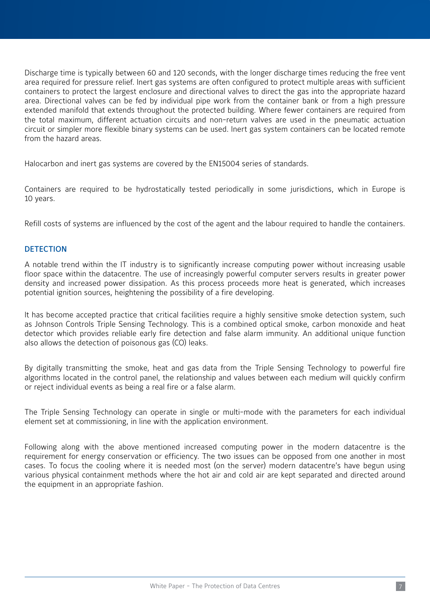Discharge time is typically between 60 and 120 seconds, with the longer discharge times reducing the free vent area required for pressure relief. Inert gas systems are often configured to protect multiple areas with sufficient containers to protect the largest enclosure and directional valves to direct the gas into the appropriate hazard area. Directional valves can be fed by individual pipe work from the container bank or from a high pressure extended manifold that extends throughout the protected building. Where fewer containers are required from the total maximum, different actuation circuits and non-return valves are used in the pneumatic actuation circuit or simpler more flexible binary systems can be used. Inert gas system containers can be located remote from the hazard areas.

Halocarbon and inert gas systems are covered by the EN15004 series of standards.

Containers are required to be hydrostatically tested periodically in some jurisdictions, which in Europe is 10 years.

Refill costs of systems are influenced by the cost of the agent and the labour required to handle the containers.

#### **DETECTION**

A notable trend within the IT industry is to significantly increase computing power without increasing usable floor space within the datacentre. The use of increasingly powerful computer servers results in greater power density and increased power dissipation. As this process proceeds more heat is generated, which increases potential ignition sources, heightening the possibility of a fire developing.

It has become accepted practice that critical facilities require a highly sensitive smoke detection system, such as Johnson Controls Triple Sensing Technology. This is a combined optical smoke, carbon monoxide and heat detector which provides reliable early fire detection and false alarm immunity. An additional unique function also allows the detection of poisonous gas (CO) leaks.

By digitally transmitting the smoke, heat and gas data from the Triple Sensing Technology to powerful fire algorithms located in the control panel, the relationship and values between each medium will quickly confirm or reject individual events as being a real fire or a false alarm.

The Triple Sensing Technology can operate in single or multi-mode with the parameters for each individual element set at commissioning, in line with the application environment.

Following along with the above mentioned increased computing power in the modern datacentre is the requirement for energy conservation or efficiency. The two issues can be opposed from one another in most cases. To focus the cooling where it is needed most (on the server) modern datacentre's have begun using various physical containment methods where the hot air and cold air are kept separated and directed around the equipment in an appropriate fashion.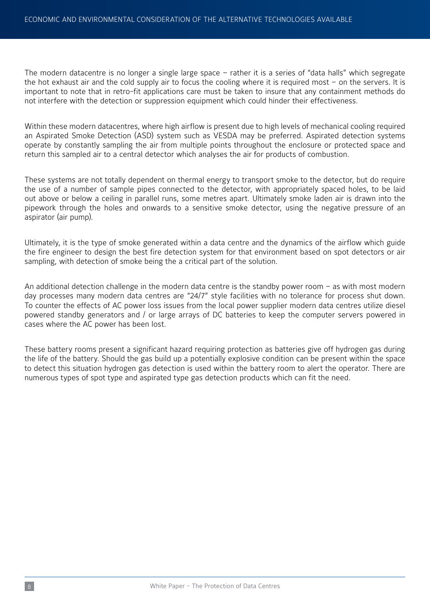The modern datacentre is no longer a single large space – rather it is a series of "data halls" which segregate the hot exhaust air and the cold supply air to focus the cooling where it is required most – on the servers. It is important to note that in retro-fit applications care must be taken to insure that any containment methods do not interfere with the detection or suppression equipment which could hinder their effectiveness.

Within these modern datacentres, where high airflow is present due to high levels of mechanical cooling required an Aspirated Smoke Detection (ASD) system such as VESDA may be preferred. Aspirated detection systems operate by constantly sampling the air from multiple points throughout the enclosure or protected space and return this sampled air to a central detector which analyses the air for products of combustion.

These systems are not totally dependent on thermal energy to transport smoke to the detector, but do require the use of a number of sample pipes connected to the detector, with appropriately spaced holes, to be laid out above or below a ceiling in parallel runs, some metres apart. Ultimately smoke laden air is drawn into the pipework through the holes and onwards to a sensitive smoke detector, using the negative pressure of an aspirator (air pump).

Ultimately, it is the type of smoke generated within a data centre and the dynamics of the airflow which guide the fire engineer to design the best fire detection system for that environment based on spot detectors or air sampling, with detection of smoke being the a critical part of the solution.

An additional detection challenge in the modern data centre is the standby power room – as with most modern day processes many modern data centres are "24/7" style facilities with no tolerance for process shut down. To counter the effects of AC power loss issues from the local power supplier modern data centres utilize diesel powered standby generators and / or large arrays of DC batteries to keep the computer servers powered in cases where the AC power has been lost.

These battery rooms present a significant hazard requiring protection as batteries give off hydrogen gas during the life of the battery. Should the gas build up a potentially explosive condition can be present within the space to detect this situation hydrogen gas detection is used within the battery room to alert the operator. There are numerous types of spot type and aspirated type gas detection products which can fit the need.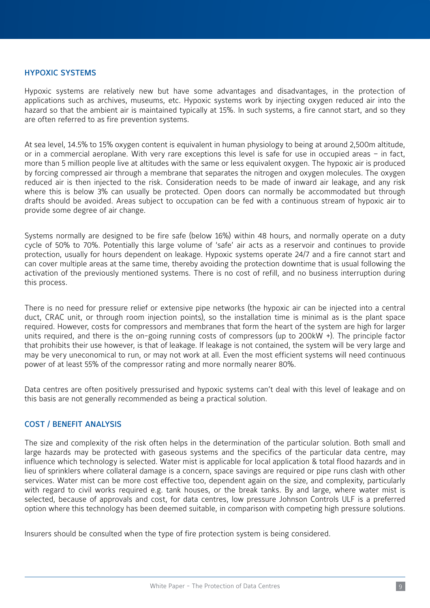#### HYPOXIC SYSTEMS

Hypoxic systems are relatively new but have some advantages and disadvantages, in the protection of applications such as archives, museums, etc. Hypoxic systems work by injecting oxygen reduced air into the hazard so that the ambient air is maintained typically at 15%. In such systems, a fire cannot start, and so they are often referred to as fire prevention systems.

At sea level, 14.5% to 15% oxygen content is equivalent in human physiology to being at around 2,500m altitude, or in a commercial aeroplane. With very rare exceptions this level is safe for use in occupied areas – in fact, more than 5 million people live at altitudes with the same or less equivalent oxygen. The hypoxic air is produced by forcing compressed air through a membrane that separates the nitrogen and oxygen molecules. The oxygen reduced air is then injected to the risk. Consideration needs to be made of inward air leakage, and any risk where this is below 3% can usually be protected. Open doors can normally be accommodated but through drafts should be avoided. Areas subject to occupation can be fed with a continuous stream of hypoxic air to provide some degree of air change.

Systems normally are designed to be fire safe (below 16%) within 48 hours, and normally operate on a duty cycle of 50% to 70%. Potentially this large volume of 'safe' air acts as a reservoir and continues to provide protection, usually for hours dependent on leakage. Hypoxic systems operate 24/7 and a fire cannot start and can cover multiple areas at the same time, thereby avoiding the protection downtime that is usual following the activation of the previously mentioned systems. There is no cost of refill, and no business interruption during this process.

There is no need for pressure relief or extensive pipe networks (the hypoxic air can be injected into a central duct, CRAC unit, or through room injection points), so the installation time is minimal as is the plant space required. However, costs for compressors and membranes that form the heart of the system are high for larger units required, and there is the on-going running costs of compressors (up to 200kW +). The principle factor that prohibits their use however, is that of leakage. If leakage is not contained, the system will be very large and may be very uneconomical to run, or may not work at all. Even the most efficient systems will need continuous power of at least 55% of the compressor rating and more normally nearer 80%.

Data centres are often positively pressurised and hypoxic systems can't deal with this level of leakage and on this basis are not generally recommended as being a practical solution.

#### COST / BENEFIT ANALYSIS

The size and complexity of the risk often helps in the determination of the particular solution. Both small and large hazards may be protected with gaseous systems and the specifics of the particular data centre, may influence which technology is selected. Water mist is applicable for local application & total flood hazards and in lieu of sprinklers where collateral damage is a concern, space savings are required or pipe runs clash with other services. Water mist can be more cost effective too, dependent again on the size, and complexity, particularly with regard to civil works required e.g. tank houses, or the break tanks. By and large, where water mist is selected, because of approvals and cost, for data centres, low pressure Johnson Controls ULF is a preferred option where this technology has been deemed suitable, in comparison with competing high pressure solutions.

Insurers should be consulted when the type of fire protection system is being considered.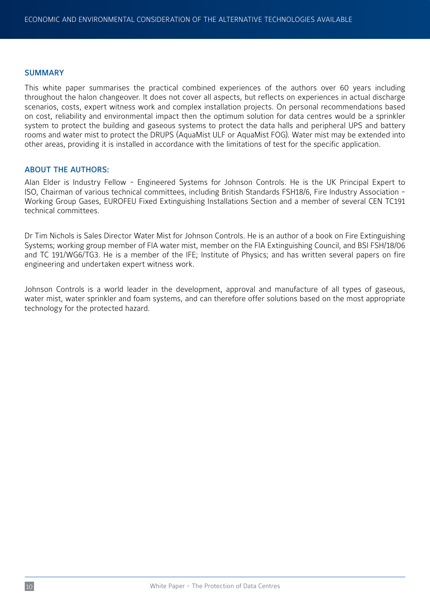#### SUMMARY

This white paper summarises the practical combined experiences of the authors over 60 years including throughout the halon changeover. It does not cover all aspects, but reflects on experiences in actual discharge scenarios, costs, expert witness work and complex installation projects. On personal recommendations based on cost, reliability and environmental impact then the optimum solution for data centres would be a sprinkler system to protect the building and gaseous systems to protect the data halls and peripheral UPS and battery rooms and water mist to protect the DRUPS (AquaMist ULF or AquaMist FOG). Water mist may be extended into other areas, providing it is installed in accordance with the limitations of test for the specific application.

#### ABOUT THE AUTHORS:

Alan Elder is Industry Fellow - Engineered Systems for Johnson Controls. He is the UK Principal Expert to ISO, Chairman of various technical committees, including British Standards FSH18/6, Fire Industry Association - Working Group Gases, EUROFEU Fixed Extinguishing Installations Section and a member of several CEN TC191 technical committees.

Dr Tim Nichols is Sales Director Water Mist for Johnson Controls. He is an author of a book on Fire Extinguishing Systems; working group member of FIA water mist, member on the FIA Extinguishing Council, and BSI FSH/18/06 and TC 191/WG6/TG3. He is a member of the IFE; Institute of Physics; and has written several papers on fire engineering and undertaken expert witness work.

Johnson Controls is a world leader in the development, approval and manufacture of all types of gaseous, water mist, water sprinkler and foam systems, and can therefore offer solutions based on the most appropriate technology for the protected hazard.